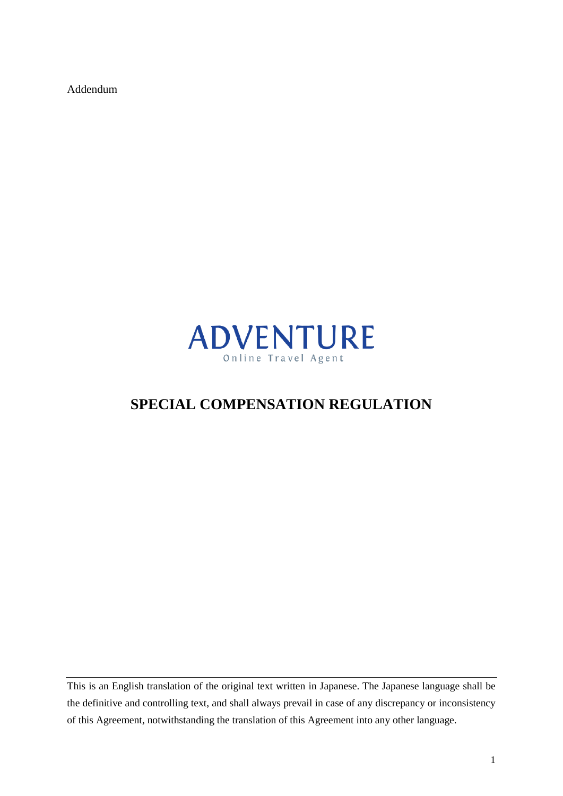Addendum



# **SPECIAL COMPENSATION REGULATION**

This is an English translation of the original text written in Japanese. The Japanese language shall be the definitive and controlling text, and shall always prevail in case of any discrepancy or inconsistency of this Agreement, notwithstanding the translation of this Agreement into any other language.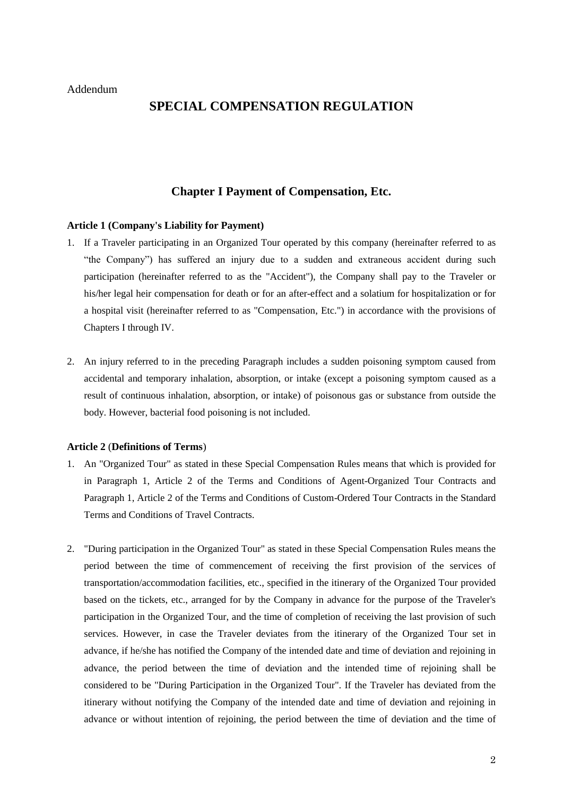# **SPECIAL COMPENSATION REGULATION**

# **Chapter I Payment of Compensation, Etc.**

#### **Article 1 (Company's Liability for Payment)**

- 1. If a Traveler participating in an Organized Tour operated by this company (hereinafter referred to as "the Company") has suffered an injury due to a sudden and extraneous accident during such participation (hereinafter referred to as the "Accident"), the Company shall pay to the Traveler or his/her legal heir compensation for death or for an after-effect and a solatium for hospitalization or for a hospital visit (hereinafter referred to as "Compensation, Etc.") in accordance with the provisions of Chapters I through IV.
- 2. An injury referred to in the preceding Paragraph includes a sudden poisoning symptom caused from accidental and temporary inhalation, absorption, or intake (except a poisoning symptom caused as a result of continuous inhalation, absorption, or intake) of poisonous gas or substance from outside the body. However, bacterial food poisoning is not included.

#### **Article 2** (**Definitions of Terms**)

- 1. An "Organized Tour" as stated in these Special Compensation Rules means that which is provided for in Paragraph 1, Article 2 of the Terms and Conditions of Agent-Organized Tour Contracts and Paragraph 1, Article 2 of the Terms and Conditions of Custom-Ordered Tour Contracts in the Standard Terms and Conditions of Travel Contracts.
- 2. "During participation in the Organized Tour" as stated in these Special Compensation Rules means the period between the time of commencement of receiving the first provision of the services of transportation/accommodation facilities, etc., specified in the itinerary of the Organized Tour provided based on the tickets, etc., arranged for by the Company in advance for the purpose of the Traveler's participation in the Organized Tour, and the time of completion of receiving the last provision of such services. However, in case the Traveler deviates from the itinerary of the Organized Tour set in advance, if he/she has notified the Company of the intended date and time of deviation and rejoining in advance, the period between the time of deviation and the intended time of rejoining shall be considered to be "During Participation in the Organized Tour". If the Traveler has deviated from the itinerary without notifying the Company of the intended date and time of deviation and rejoining in advance or without intention of rejoining, the period between the time of deviation and the time of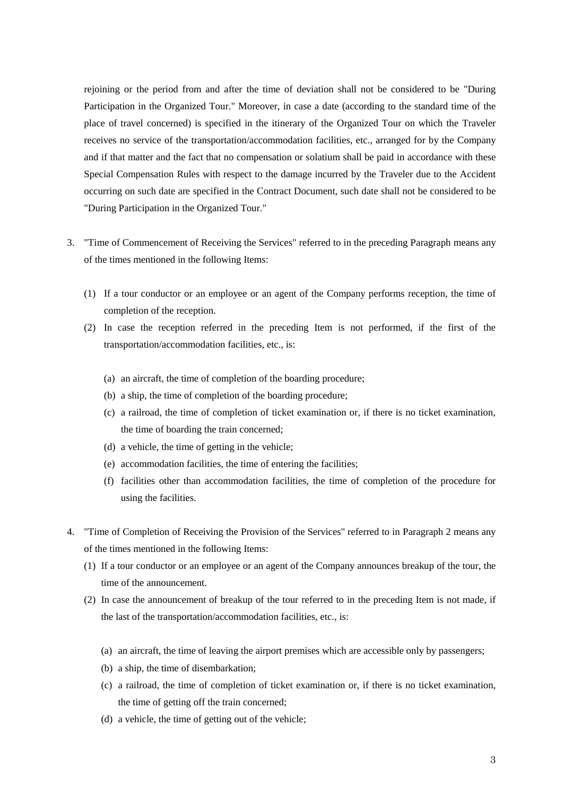rejoining or the period from and after the time of deviation shall not be considered to be "During Participation in the Organized Tour." Moreover, in case a date (according to the standard time of the place of travel concerned) is specified in the itinerary of the Organized Tour on which the Traveler receives no service of the transportation/accommodation facilities, etc., arranged for by the Company and if that matter and the fact that no compensation or solatium shall be paid in accordance with these Special Compensation Rules with respect to the damage incurred by the Traveler due to the Accident occurring on such date are specified in the Contract Document, such date shall not be considered to be "During Participation in the Organized Tour."

- 3. "Time of Commencement of Receiving the Services" referred to in the preceding Paragraph means any of the times mentioned in the following Items:
	- (1) If a tour conductor or an employee or an agent of the Company performs reception, the time of completion of the reception.
	- (2) In case the reception referred in the preceding Item is not performed, if the first of the transportation/accommodation facilities, etc., is:
		- (a) an aircraft, the time of completion of the boarding procedure;
		- (b) a ship, the time of completion of the boarding procedure;
		- (c) a railroad, the time of completion of ticket examination or, if there is no ticket examination, the time of boarding the train concerned;
		- (d) a vehicle, the time of getting in the vehicle;
		- (e) accommodation facilities, the time of entering the facilities;
		- (f) facilities other than accommodation facilities, the time of completion of the procedure for using the facilities.
- 4. "Time of Completion of Receiving the Provision of the Services" referred to in Paragraph 2 means any of the times mentioned in the following Items:
	- (1) If a tour conductor or an employee or an agent of the Company announces breakup of the tour, the time of the announcement.
	- (2) In case the announcement of breakup of the tour referred to in the preceding Item is not made, if the last of the transportation/accommodation facilities, etc., is:
		- (a) an aircraft, the time of leaving the airport premises which are accessible only by passengers;
		- (b) a ship, the time of disembarkation;
		- (c) a railroad, the time of completion of ticket examination or, if there is no ticket examination, the time of getting off the train concerned;
		- (d) a vehicle, the time of getting out of the vehicle;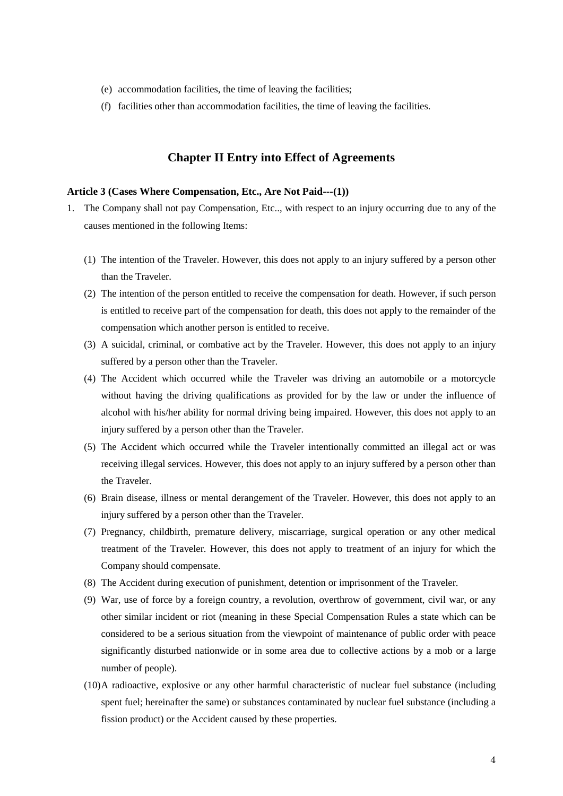- (e) accommodation facilities, the time of leaving the facilities;
- (f) facilities other than accommodation facilities, the time of leaving the facilities.

## **Chapter II Entry into Effect of Agreements**

#### **Article 3 (Cases Where Compensation, Etc., Are Not Paid---(1))**

- 1. The Company shall not pay Compensation, Etc.., with respect to an injury occurring due to any of the causes mentioned in the following Items:
	- (1) The intention of the Traveler. However, this does not apply to an injury suffered by a person other than the Traveler.
	- (2) The intention of the person entitled to receive the compensation for death. However, if such person is entitled to receive part of the compensation for death, this does not apply to the remainder of the compensation which another person is entitled to receive.
	- (3) A suicidal, criminal, or combative act by the Traveler. However, this does not apply to an injury suffered by a person other than the Traveler.
	- (4) The Accident which occurred while the Traveler was driving an automobile or a motorcycle without having the driving qualifications as provided for by the law or under the influence of alcohol with his/her ability for normal driving being impaired. However, this does not apply to an injury suffered by a person other than the Traveler.
	- (5) The Accident which occurred while the Traveler intentionally committed an illegal act or was receiving illegal services. However, this does not apply to an injury suffered by a person other than the Traveler.
	- (6) Brain disease, illness or mental derangement of the Traveler. However, this does not apply to an injury suffered by a person other than the Traveler.
	- (7) Pregnancy, childbirth, premature delivery, miscarriage, surgical operation or any other medical treatment of the Traveler. However, this does not apply to treatment of an injury for which the Company should compensate.
	- (8) The Accident during execution of punishment, detention or imprisonment of the Traveler.
	- (9) War, use of force by a foreign country, a revolution, overthrow of government, civil war, or any other similar incident or riot (meaning in these Special Compensation Rules a state which can be considered to be a serious situation from the viewpoint of maintenance of public order with peace significantly disturbed nationwide or in some area due to collective actions by a mob or a large number of people).
	- (10)A radioactive, explosive or any other harmful characteristic of nuclear fuel substance (including spent fuel; hereinafter the same) or substances contaminated by nuclear fuel substance (including a fission product) or the Accident caused by these properties.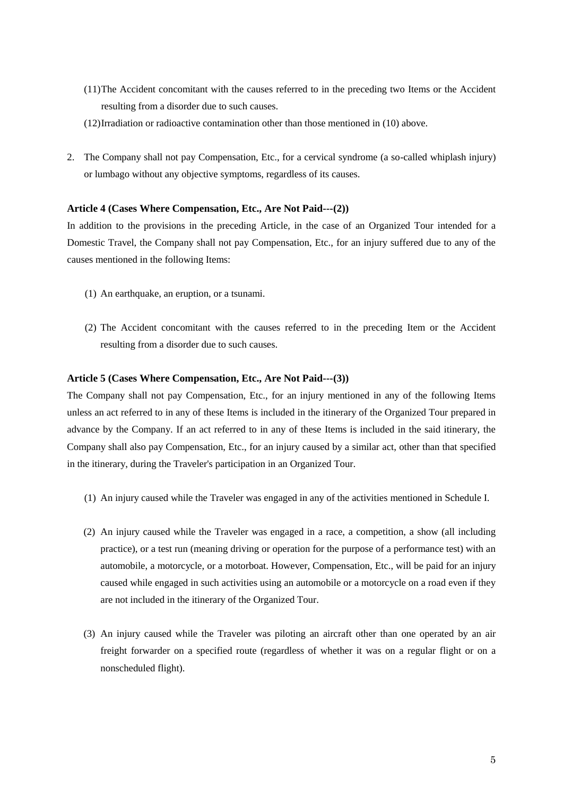- (11)The Accident concomitant with the causes referred to in the preceding two Items or the Accident resulting from a disorder due to such causes.
- (12)Irradiation or radioactive contamination other than those mentioned in (10) above.
- 2. The Company shall not pay Compensation, Etc., for a cervical syndrome (a so-called whiplash injury) or lumbago without any objective symptoms, regardless of its causes.

#### **Article 4 (Cases Where Compensation, Etc., Are Not Paid---(2))**

In addition to the provisions in the preceding Article, in the case of an Organized Tour intended for a Domestic Travel, the Company shall not pay Compensation, Etc., for an injury suffered due to any of the causes mentioned in the following Items:

- (1) An earthquake, an eruption, or a tsunami.
- (2) The Accident concomitant with the causes referred to in the preceding Item or the Accident resulting from a disorder due to such causes.

#### **Article 5 (Cases Where Compensation, Etc., Are Not Paid---(3))**

The Company shall not pay Compensation, Etc., for an injury mentioned in any of the following Items unless an act referred to in any of these Items is included in the itinerary of the Organized Tour prepared in advance by the Company. If an act referred to in any of these Items is included in the said itinerary, the Company shall also pay Compensation, Etc., for an injury caused by a similar act, other than that specified in the itinerary, during the Traveler's participation in an Organized Tour.

- (1) An injury caused while the Traveler was engaged in any of the activities mentioned in Schedule I.
- (2) An injury caused while the Traveler was engaged in a race, a competition, a show (all including practice), or a test run (meaning driving or operation for the purpose of a performance test) with an automobile, a motorcycle, or a motorboat. However, Compensation, Etc., will be paid for an injury caused while engaged in such activities using an automobile or a motorcycle on a road even if they are not included in the itinerary of the Organized Tour.
- (3) An injury caused while the Traveler was piloting an aircraft other than one operated by an air freight forwarder on a specified route (regardless of whether it was on a regular flight or on a nonscheduled flight).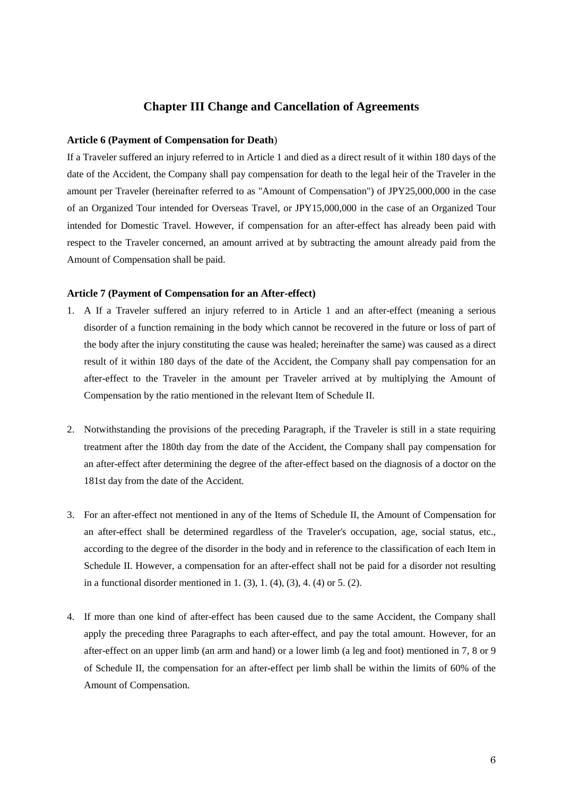# **Chapter III Change and Cancellation of Agreements**

#### **Article 6 (Payment of Compensation for Death**)

If a Traveler suffered an injury referred to in Article 1 and died as a direct result of it within 180 days of the date of the Accident, the Company shall pay compensation for death to the legal heir of the Traveler in the amount per Traveler (hereinafter referred to as "Amount of Compensation") of JPY25,000,000 in the case of an Organized Tour intended for Overseas Travel, or JPY15,000,000 in the case of an Organized Tour intended for Domestic Travel. However, if compensation for an after-effect has already been paid with respect to the Traveler concerned, an amount arrived at by subtracting the amount already paid from the Amount of Compensation shall be paid.

#### **Article 7 (Payment of Compensation for an After-effect)**

- 1. A If a Traveler suffered an injury referred to in Article 1 and an after-effect (meaning a serious disorder of a function remaining in the body which cannot be recovered in the future or loss of part of the body after the injury constituting the cause was healed; hereinafter the same) was caused as a direct result of it within 180 days of the date of the Accident, the Company shall pay compensation for an after-effect to the Traveler in the amount per Traveler arrived at by multiplying the Amount of Compensation by the ratio mentioned in the relevant Item of Schedule II.
- 2. Notwithstanding the provisions of the preceding Paragraph, if the Traveler is still in a state requiring treatment after the 180th day from the date of the Accident, the Company shall pay compensation for an after-effect after determining the degree of the after-effect based on the diagnosis of a doctor on the 181st day from the date of the Accident.
- 3. For an after-effect not mentioned in any of the Items of Schedule II, the Amount of Compensation for an after-effect shall be determined regardless of the Traveler's occupation, age, social status, etc., according to the degree of the disorder in the body and in reference to the classification of each Item in Schedule II. However, a compensation for an after-effect shall not be paid for a disorder not resulting in a functional disorder mentioned in 1.  $(3)$ , 1.  $(4)$ ,  $(3)$ , 4.  $(4)$  or 5.  $(2)$ .
- 4. If more than one kind of after-effect has been caused due to the same Accident, the Company shall apply the preceding three Paragraphs to each after-effect, and pay the total amount. However, for an after-effect on an upper limb (an arm and hand) or a lower limb (a leg and foot) mentioned in 7, 8 or 9 of Schedule II, the compensation for an after-effect per limb shall be within the limits of 60% of the Amount of Compensation.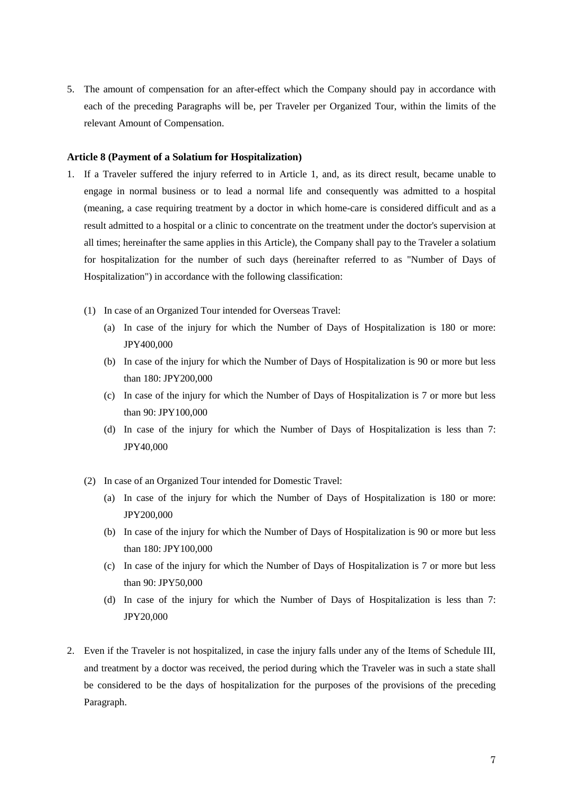5. The amount of compensation for an after-effect which the Company should pay in accordance with each of the preceding Paragraphs will be, per Traveler per Organized Tour, within the limits of the relevant Amount of Compensation.

#### **Article 8 (Payment of a Solatium for Hospitalization)**

- 1. If a Traveler suffered the injury referred to in Article 1, and, as its direct result, became unable to engage in normal business or to lead a normal life and consequently was admitted to a hospital (meaning, a case requiring treatment by a doctor in which home-care is considered difficult and as a result admitted to a hospital or a clinic to concentrate on the treatment under the doctor's supervision at all times; hereinafter the same applies in this Article), the Company shall pay to the Traveler a solatium for hospitalization for the number of such days (hereinafter referred to as "Number of Days of Hospitalization") in accordance with the following classification:
	- (1) In case of an Organized Tour intended for Overseas Travel:
		- (a) In case of the injury for which the Number of Days of Hospitalization is 180 or more: JPY400,000
		- (b) In case of the injury for which the Number of Days of Hospitalization is 90 or more but less than 180: JPY200,000
		- (c) In case of the injury for which the Number of Days of Hospitalization is 7 or more but less than 90: JPY100,000
		- (d) In case of the injury for which the Number of Days of Hospitalization is less than 7: JPY40,000
	- (2) In case of an Organized Tour intended for Domestic Travel:
		- (a) In case of the injury for which the Number of Days of Hospitalization is 180 or more: JPY200,000
		- (b) In case of the injury for which the Number of Days of Hospitalization is 90 or more but less than 180: JPY100,000
		- (c) In case of the injury for which the Number of Days of Hospitalization is 7 or more but less than 90: JPY50,000
		- (d) In case of the injury for which the Number of Days of Hospitalization is less than 7: JPY20,000
- 2. Even if the Traveler is not hospitalized, in case the injury falls under any of the Items of Schedule III, and treatment by a doctor was received, the period during which the Traveler was in such a state shall be considered to be the days of hospitalization for the purposes of the provisions of the preceding Paragraph.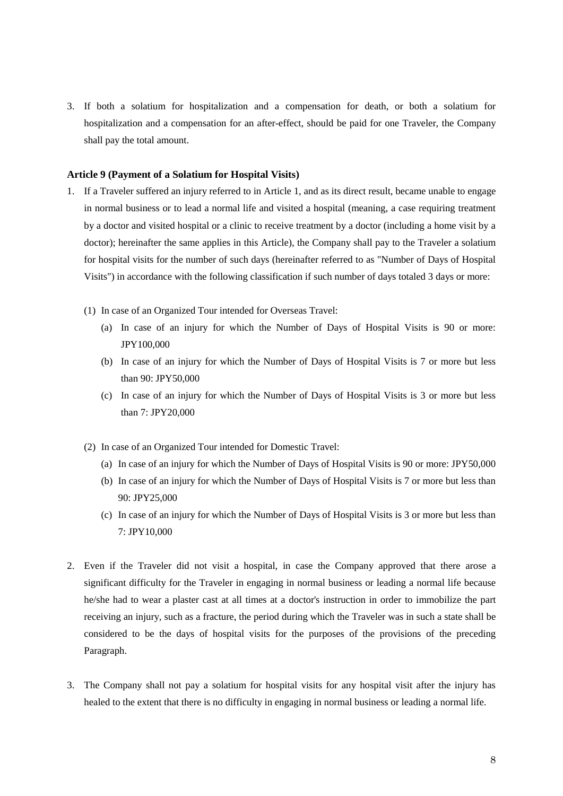3. If both a solatium for hospitalization and a compensation for death, or both a solatium for hospitalization and a compensation for an after-effect, should be paid for one Traveler, the Company shall pay the total amount.

#### **Article 9 (Payment of a Solatium for Hospital Visits)**

- 1. If a Traveler suffered an injury referred to in Article 1, and as its direct result, became unable to engage in normal business or to lead a normal life and visited a hospital (meaning, a case requiring treatment by a doctor and visited hospital or a clinic to receive treatment by a doctor (including a home visit by a doctor); hereinafter the same applies in this Article), the Company shall pay to the Traveler a solatium for hospital visits for the number of such days (hereinafter referred to as "Number of Days of Hospital Visits") in accordance with the following classification if such number of days totaled 3 days or more:
	- (1) In case of an Organized Tour intended for Overseas Travel:
		- (a) In case of an injury for which the Number of Days of Hospital Visits is 90 or more: JPY100,000
		- (b) In case of an injury for which the Number of Days of Hospital Visits is 7 or more but less than 90: JPY50,000
		- (c) In case of an injury for which the Number of Days of Hospital Visits is 3 or more but less than 7: JPY20,000
	- (2) In case of an Organized Tour intended for Domestic Travel:
		- (a) In case of an injury for which the Number of Days of Hospital Visits is 90 or more: JPY50,000
		- (b) In case of an injury for which the Number of Days of Hospital Visits is 7 or more but less than 90: JPY25,000
		- (c) In case of an injury for which the Number of Days of Hospital Visits is 3 or more but less than 7: JPY10,000
- 2. Even if the Traveler did not visit a hospital, in case the Company approved that there arose a significant difficulty for the Traveler in engaging in normal business or leading a normal life because he/she had to wear a plaster cast at all times at a doctor's instruction in order to immobilize the part receiving an injury, such as a fracture, the period during which the Traveler was in such a state shall be considered to be the days of hospital visits for the purposes of the provisions of the preceding Paragraph.
- 3. The Company shall not pay a solatium for hospital visits for any hospital visit after the injury has healed to the extent that there is no difficulty in engaging in normal business or leading a normal life.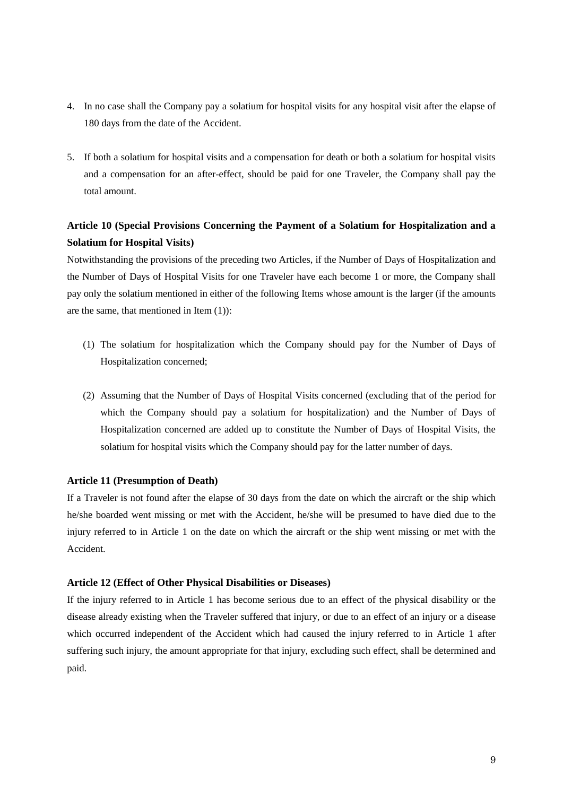- 4. In no case shall the Company pay a solatium for hospital visits for any hospital visit after the elapse of 180 days from the date of the Accident.
- 5. If both a solatium for hospital visits and a compensation for death or both a solatium for hospital visits and a compensation for an after-effect, should be paid for one Traveler, the Company shall pay the total amount.

# **Article 10 (Special Provisions Concerning the Payment of a Solatium for Hospitalization and a Solatium for Hospital Visits)**

Notwithstanding the provisions of the preceding two Articles, if the Number of Days of Hospitalization and the Number of Days of Hospital Visits for one Traveler have each become 1 or more, the Company shall pay only the solatium mentioned in either of the following Items whose amount is the larger (if the amounts are the same, that mentioned in Item (1)):

- (1) The solatium for hospitalization which the Company should pay for the Number of Days of Hospitalization concerned;
- (2) Assuming that the Number of Days of Hospital Visits concerned (excluding that of the period for which the Company should pay a solatium for hospitalization) and the Number of Days of Hospitalization concerned are added up to constitute the Number of Days of Hospital Visits, the solatium for hospital visits which the Company should pay for the latter number of days.

#### **Article 11 (Presumption of Death)**

If a Traveler is not found after the elapse of 30 days from the date on which the aircraft or the ship which he/she boarded went missing or met with the Accident, he/she will be presumed to have died due to the injury referred to in Article 1 on the date on which the aircraft or the ship went missing or met with the Accident.

#### **Article 12 (Effect of Other Physical Disabilities or Diseases)**

If the injury referred to in Article 1 has become serious due to an effect of the physical disability or the disease already existing when the Traveler suffered that injury, or due to an effect of an injury or a disease which occurred independent of the Accident which had caused the injury referred to in Article 1 after suffering such injury, the amount appropriate for that injury, excluding such effect, shall be determined and paid.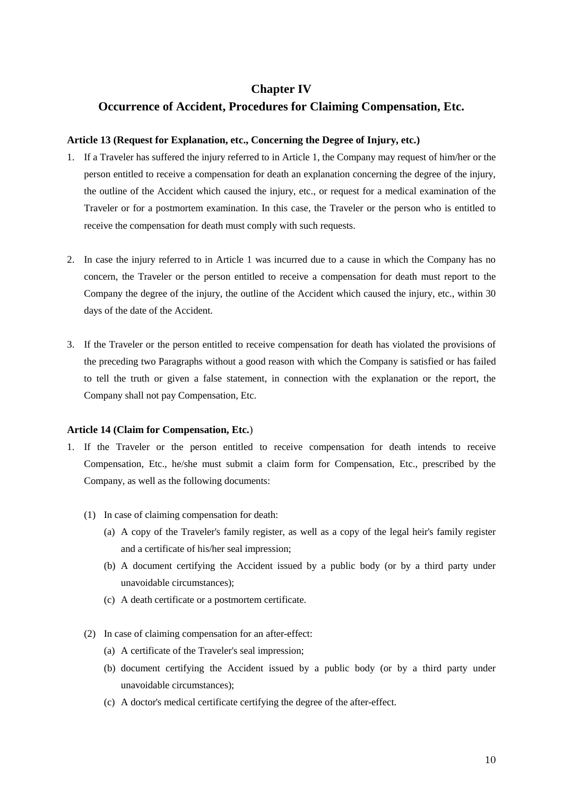# **Chapter IV**

# **Occurrence of Accident, Procedures for Claiming Compensation, Etc.**

#### **Article 13 (Request for Explanation, etc., Concerning the Degree of Injury, etc.)**

- 1. If a Traveler has suffered the injury referred to in Article 1, the Company may request of him/her or the person entitled to receive a compensation for death an explanation concerning the degree of the injury, the outline of the Accident which caused the injury, etc., or request for a medical examination of the Traveler or for a postmortem examination. In this case, the Traveler or the person who is entitled to receive the compensation for death must comply with such requests.
- 2. In case the injury referred to in Article 1 was incurred due to a cause in which the Company has no concern, the Traveler or the person entitled to receive a compensation for death must report to the Company the degree of the injury, the outline of the Accident which caused the injury, etc., within 30 days of the date of the Accident.
- 3. If the Traveler or the person entitled to receive compensation for death has violated the provisions of the preceding two Paragraphs without a good reason with which the Company is satisfied or has failed to tell the truth or given a false statement, in connection with the explanation or the report, the Company shall not pay Compensation, Etc.

#### **Article 14 (Claim for Compensation, Etc.**)

- 1. If the Traveler or the person entitled to receive compensation for death intends to receive Compensation, Etc., he/she must submit a claim form for Compensation, Etc., prescribed by the Company, as well as the following documents:
	- (1) In case of claiming compensation for death:
		- (a) A copy of the Traveler's family register, as well as a copy of the legal heir's family register and a certificate of his/her seal impression;
		- (b) A document certifying the Accident issued by a public body (or by a third party under unavoidable circumstances);
		- (c) A death certificate or a postmortem certificate.
	- (2) In case of claiming compensation for an after-effect:
		- (a) A certificate of the Traveler's seal impression;
		- (b) document certifying the Accident issued by a public body (or by a third party under unavoidable circumstances);
		- (c) A doctor's medical certificate certifying the degree of the after-effect.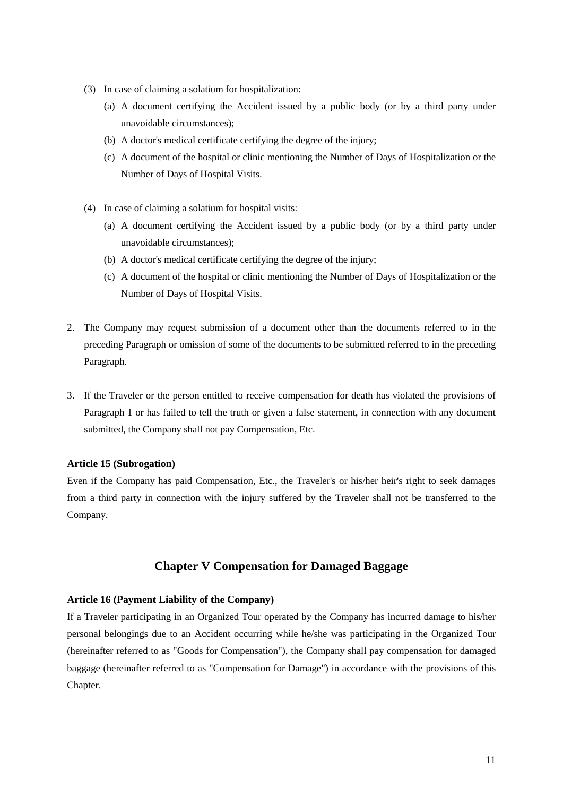- (3) In case of claiming a solatium for hospitalization:
	- (a) A document certifying the Accident issued by a public body (or by a third party under unavoidable circumstances);
	- (b) A doctor's medical certificate certifying the degree of the injury;
	- (c) A document of the hospital or clinic mentioning the Number of Days of Hospitalization or the Number of Days of Hospital Visits.
- (4) In case of claiming a solatium for hospital visits:
	- (a) A document certifying the Accident issued by a public body (or by a third party under unavoidable circumstances);
	- (b) A doctor's medical certificate certifying the degree of the injury;
	- (c) A document of the hospital or clinic mentioning the Number of Days of Hospitalization or the Number of Days of Hospital Visits.
- 2. The Company may request submission of a document other than the documents referred to in the preceding Paragraph or omission of some of the documents to be submitted referred to in the preceding Paragraph.
- 3. If the Traveler or the person entitled to receive compensation for death has violated the provisions of Paragraph 1 or has failed to tell the truth or given a false statement, in connection with any document submitted, the Company shall not pay Compensation, Etc.

## **Article 15 (Subrogation)**

Even if the Company has paid Compensation, Etc., the Traveler's or his/her heir's right to seek damages from a third party in connection with the injury suffered by the Traveler shall not be transferred to the Company.

# **Chapter V Compensation for Damaged Baggage**

## **Article 16 (Payment Liability of the Company)**

If a Traveler participating in an Organized Tour operated by the Company has incurred damage to his/her personal belongings due to an Accident occurring while he/she was participating in the Organized Tour (hereinafter referred to as "Goods for Compensation"), the Company shall pay compensation for damaged baggage (hereinafter referred to as "Compensation for Damage") in accordance with the provisions of this Chapter.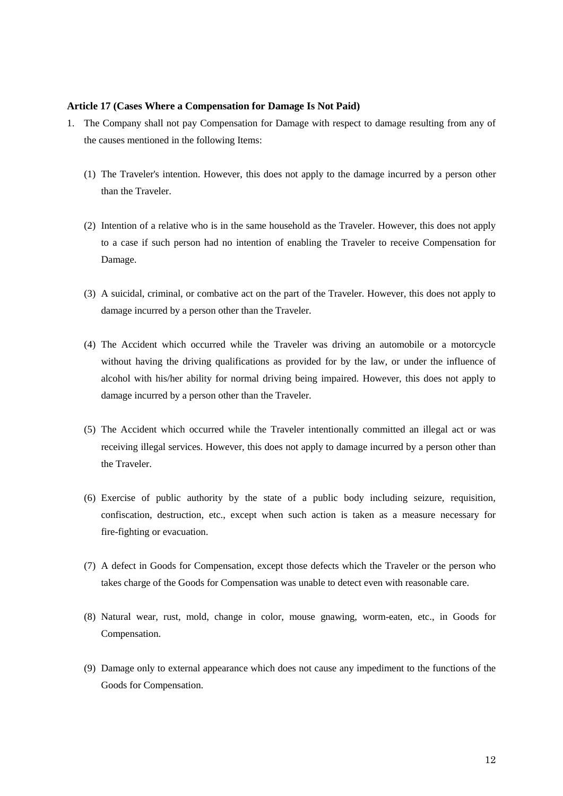#### **Article 17 (Cases Where a Compensation for Damage Is Not Paid)**

- 1. The Company shall not pay Compensation for Damage with respect to damage resulting from any of the causes mentioned in the following Items:
	- (1) The Traveler's intention. However, this does not apply to the damage incurred by a person other than the Traveler.
	- (2) Intention of a relative who is in the same household as the Traveler. However, this does not apply to a case if such person had no intention of enabling the Traveler to receive Compensation for Damage.
	- (3) A suicidal, criminal, or combative act on the part of the Traveler. However, this does not apply to damage incurred by a person other than the Traveler.
	- (4) The Accident which occurred while the Traveler was driving an automobile or a motorcycle without having the driving qualifications as provided for by the law, or under the influence of alcohol with his/her ability for normal driving being impaired. However, this does not apply to damage incurred by a person other than the Traveler.
	- (5) The Accident which occurred while the Traveler intentionally committed an illegal act or was receiving illegal services. However, this does not apply to damage incurred by a person other than the Traveler.
	- (6) Exercise of public authority by the state of a public body including seizure, requisition, confiscation, destruction, etc., except when such action is taken as a measure necessary for fire-fighting or evacuation.
	- (7) A defect in Goods for Compensation, except those defects which the Traveler or the person who takes charge of the Goods for Compensation was unable to detect even with reasonable care.
	- (8) Natural wear, rust, mold, change in color, mouse gnawing, worm-eaten, etc., in Goods for Compensation.
	- (9) Damage only to external appearance which does not cause any impediment to the functions of the Goods for Compensation.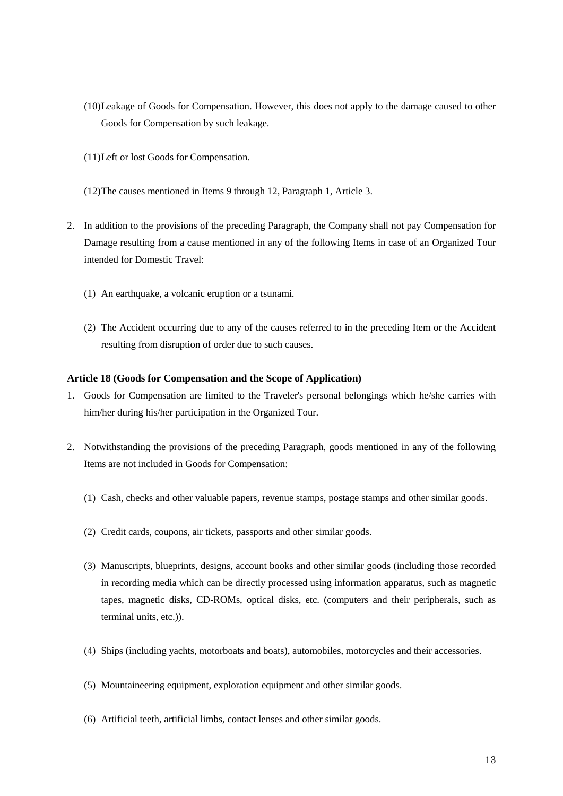- (10)Leakage of Goods for Compensation. However, this does not apply to the damage caused to other Goods for Compensation by such leakage.
- (11)Left or lost Goods for Compensation.
- (12)The causes mentioned in Items 9 through 12, Paragraph 1, Article 3.
- 2. In addition to the provisions of the preceding Paragraph, the Company shall not pay Compensation for Damage resulting from a cause mentioned in any of the following Items in case of an Organized Tour intended for Domestic Travel:
	- (1) An earthquake, a volcanic eruption or a tsunami.
	- (2) The Accident occurring due to any of the causes referred to in the preceding Item or the Accident resulting from disruption of order due to such causes.

#### **Article 18 (Goods for Compensation and the Scope of Application)**

- 1. Goods for Compensation are limited to the Traveler's personal belongings which he/she carries with him/her during his/her participation in the Organized Tour.
- 2. Notwithstanding the provisions of the preceding Paragraph, goods mentioned in any of the following Items are not included in Goods for Compensation:
	- (1) Cash, checks and other valuable papers, revenue stamps, postage stamps and other similar goods.
	- (2) Credit cards, coupons, air tickets, passports and other similar goods.
	- (3) Manuscripts, blueprints, designs, account books and other similar goods (including those recorded in recording media which can be directly processed using information apparatus, such as magnetic tapes, magnetic disks, CD-ROMs, optical disks, etc. (computers and their peripherals, such as terminal units, etc.)).
	- (4) Ships (including yachts, motorboats and boats), automobiles, motorcycles and their accessories.
	- (5) Mountaineering equipment, exploration equipment and other similar goods.
	- (6) Artificial teeth, artificial limbs, contact lenses and other similar goods.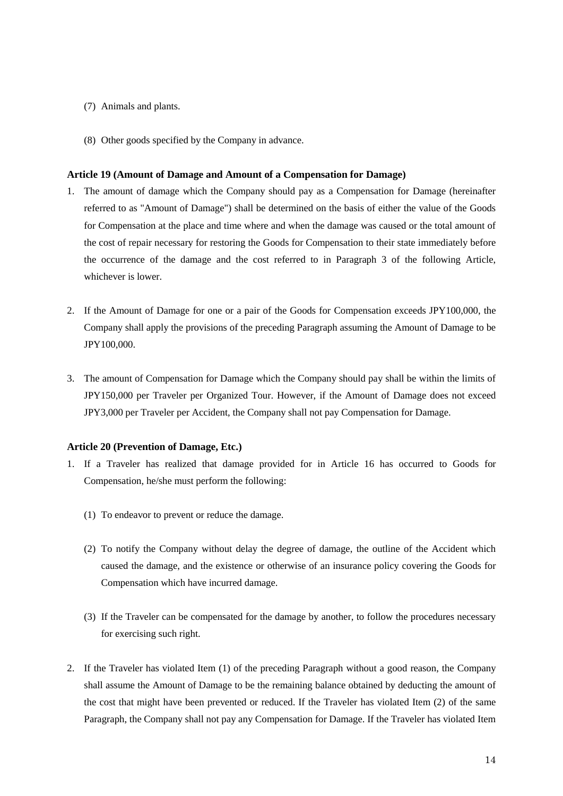- (7) Animals and plants.
- (8) Other goods specified by the Company in advance.

#### **Article 19 (Amount of Damage and Amount of a Compensation for Damage)**

- 1. The amount of damage which the Company should pay as a Compensation for Damage (hereinafter referred to as "Amount of Damage") shall be determined on the basis of either the value of the Goods for Compensation at the place and time where and when the damage was caused or the total amount of the cost of repair necessary for restoring the Goods for Compensation to their state immediately before the occurrence of the damage and the cost referred to in Paragraph 3 of the following Article, whichever is lower.
- 2. If the Amount of Damage for one or a pair of the Goods for Compensation exceeds JPY100,000, the Company shall apply the provisions of the preceding Paragraph assuming the Amount of Damage to be JPY100,000.
- 3. The amount of Compensation for Damage which the Company should pay shall be within the limits of JPY150,000 per Traveler per Organized Tour. However, if the Amount of Damage does not exceed JPY3,000 per Traveler per Accident, the Company shall not pay Compensation for Damage.

#### **Article 20 (Prevention of Damage, Etc.)**

- 1. If a Traveler has realized that damage provided for in Article 16 has occurred to Goods for Compensation, he/she must perform the following:
	- (1) To endeavor to prevent or reduce the damage.
	- (2) To notify the Company without delay the degree of damage, the outline of the Accident which caused the damage, and the existence or otherwise of an insurance policy covering the Goods for Compensation which have incurred damage.
	- (3) If the Traveler can be compensated for the damage by another, to follow the procedures necessary for exercising such right.
- 2. If the Traveler has violated Item (1) of the preceding Paragraph without a good reason, the Company shall assume the Amount of Damage to be the remaining balance obtained by deducting the amount of the cost that might have been prevented or reduced. If the Traveler has violated Item (2) of the same Paragraph, the Company shall not pay any Compensation for Damage. If the Traveler has violated Item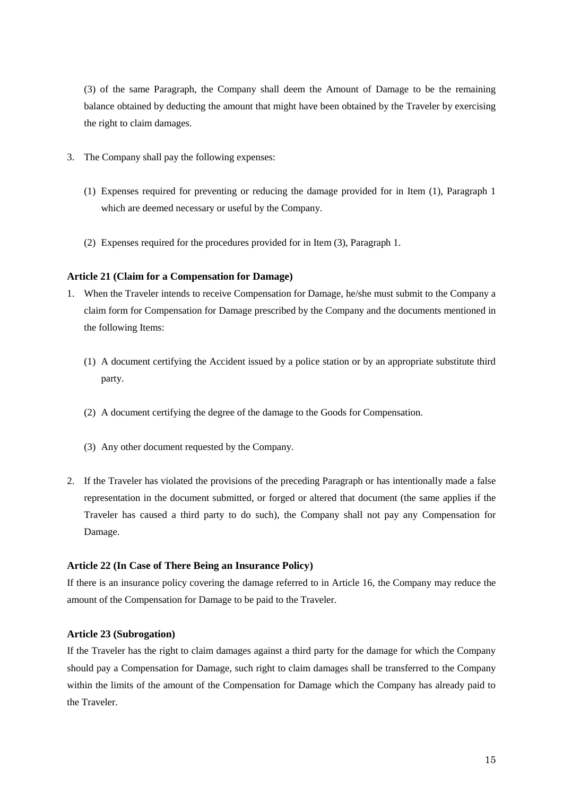(3) of the same Paragraph, the Company shall deem the Amount of Damage to be the remaining balance obtained by deducting the amount that might have been obtained by the Traveler by exercising the right to claim damages.

- 3. The Company shall pay the following expenses:
	- (1) Expenses required for preventing or reducing the damage provided for in Item (1), Paragraph 1 which are deemed necessary or useful by the Company.
	- (2) Expenses required for the procedures provided for in Item (3), Paragraph 1.

#### **Article 21 (Claim for a Compensation for Damage)**

- 1. When the Traveler intends to receive Compensation for Damage, he/she must submit to the Company a claim form for Compensation for Damage prescribed by the Company and the documents mentioned in the following Items:
	- (1) A document certifying the Accident issued by a police station or by an appropriate substitute third party.
	- (2) A document certifying the degree of the damage to the Goods for Compensation.
	- (3) Any other document requested by the Company.
- 2. If the Traveler has violated the provisions of the preceding Paragraph or has intentionally made a false representation in the document submitted, or forged or altered that document (the same applies if the Traveler has caused a third party to do such), the Company shall not pay any Compensation for Damage.

#### **Article 22 (In Case of There Being an Insurance Policy)**

If there is an insurance policy covering the damage referred to in Article 16, the Company may reduce the amount of the Compensation for Damage to be paid to the Traveler.

#### **Article 23 (Subrogation)**

If the Traveler has the right to claim damages against a third party for the damage for which the Company should pay a Compensation for Damage, such right to claim damages shall be transferred to the Company within the limits of the amount of the Compensation for Damage which the Company has already paid to the Traveler.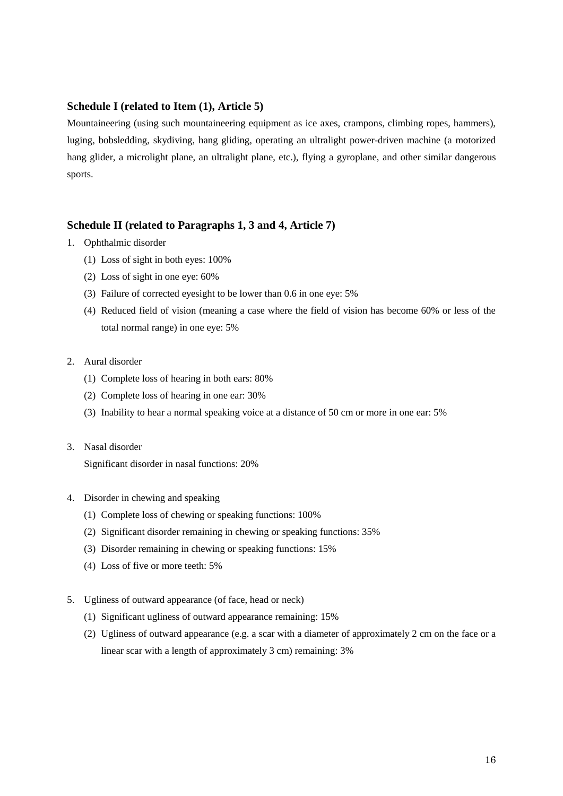# **Schedule I (related to Item (1), Article 5)**

Mountaineering (using such mountaineering equipment as ice axes, crampons, climbing ropes, hammers), luging, bobsledding, skydiving, hang gliding, operating an ultralight power-driven machine (a motorized hang glider, a microlight plane, an ultralight plane, etc.), flying a gyroplane, and other similar dangerous sports.

# **Schedule II (related to Paragraphs 1, 3 and 4, Article 7)**

- 1. Ophthalmic disorder
	- (1) Loss of sight in both eyes: 100%
	- (2) Loss of sight in one eye: 60%
	- (3) Failure of corrected eyesight to be lower than 0.6 in one eye: 5%
	- (4) Reduced field of vision (meaning a case where the field of vision has become 60% or less of the total normal range) in one eye: 5%

#### 2. Aural disorder

- (1) Complete loss of hearing in both ears: 80%
- (2) Complete loss of hearing in one ear: 30%
- (3) Inability to hear a normal speaking voice at a distance of 50 cm or more in one ear: 5%

#### 3. Nasal disorder

Significant disorder in nasal functions: 20%

- 4. Disorder in chewing and speaking
	- (1) Complete loss of chewing or speaking functions: 100%
	- (2) Significant disorder remaining in chewing or speaking functions: 35%
	- (3) Disorder remaining in chewing or speaking functions: 15%
	- (4) Loss of five or more teeth: 5%
- 5. Ugliness of outward appearance (of face, head or neck)
	- (1) Significant ugliness of outward appearance remaining: 15%
	- (2) Ugliness of outward appearance (e.g. a scar with a diameter of approximately 2 cm on the face or a linear scar with a length of approximately 3 cm) remaining: 3%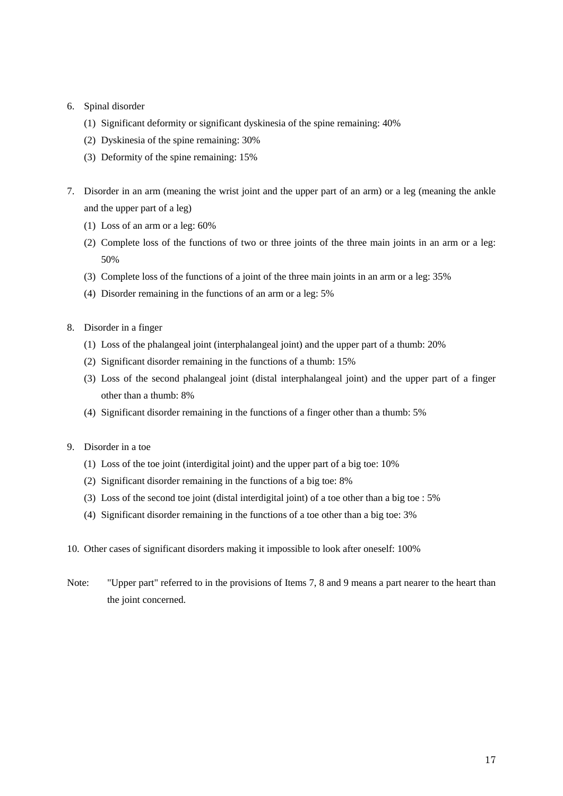## 6. Spinal disorder

- (1) Significant deformity or significant dyskinesia of the spine remaining: 40%
- (2) Dyskinesia of the spine remaining: 30%
- (3) Deformity of the spine remaining: 15%
- 7. Disorder in an arm (meaning the wrist joint and the upper part of an arm) or a leg (meaning the ankle and the upper part of a leg)
	- (1) Loss of an arm or a leg: 60%
	- (2) Complete loss of the functions of two or three joints of the three main joints in an arm or a leg: 50%
	- (3) Complete loss of the functions of a joint of the three main joints in an arm or a leg: 35%
	- (4) Disorder remaining in the functions of an arm or a leg: 5%
- 8. Disorder in a finger
	- (1) Loss of the phalangeal joint (interphalangeal joint) and the upper part of a thumb: 20%
	- (2) Significant disorder remaining in the functions of a thumb: 15%
	- (3) Loss of the second phalangeal joint (distal interphalangeal joint) and the upper part of a finger other than a thumb: 8%
	- (4) Significant disorder remaining in the functions of a finger other than a thumb: 5%
- 9. Disorder in a toe
	- (1) Loss of the toe joint (interdigital joint) and the upper part of a big toe: 10%
	- (2) Significant disorder remaining in the functions of a big toe: 8%
	- (3) Loss of the second toe joint (distal interdigital joint) of a toe other than a big toe : 5%
	- (4) Significant disorder remaining in the functions of a toe other than a big toe: 3%
- 10. Other cases of significant disorders making it impossible to look after oneself: 100%
- Note: "Upper part" referred to in the provisions of Items 7, 8 and 9 means a part nearer to the heart than the joint concerned.